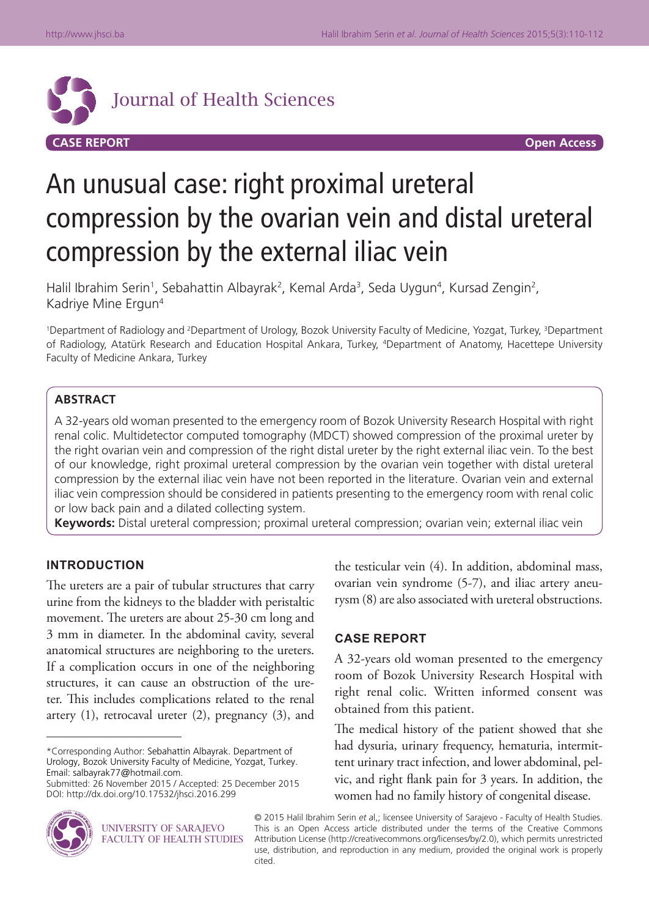

# An unusual case: right proximal ureteral compression by the ovarian vein and distal ureteral compression by the external iliac vein

Halil Ibrahim Serin<sup>1</sup>, Sebahattin Albayrak<sup>2</sup>, Kemal Arda<sup>3</sup>, Seda Uygun<sup>4</sup>, Kursad Zengin<sup>2</sup>, Kadriye Mine Ergun4

<sup>1</sup>Department of Radiology and <sup>2</sup>Department of Urology, Bozok University Faculty of Medicine, Yozgat, Turkey, <sup>3</sup>Department of Radiology, Atatürk Research and Education Hospital Ankara, Turkey, 4 Department of Anatomy, Hacettepe University Faculty of Medicine Ankara, Turkey

### **ABSTRACT**

A 32-years old woman presented to the emergency room of Bozok University Research Hospital with right renal colic. Multidetector computed tomography (MDCT) showed compression of the proximal ureter by the right ovarian vein and compression of the right distal ureter by the right external iliac vein. To the best of our knowledge, right proximal ureteral compression by the ovarian vein together with distal ureteral compression by the external iliac vein have not been reported in the literature. Ovarian vein and external iliac vein compression should be considered in patients presenting to the emergency room with renal colic or low back pain and a dilated collecting system.

**Keywords:** Distal ureteral compression; proximal ureteral compression; ovarian vein; external iliac vein

### **INTRODUCTION**

The ureters are a pair of tubular structures that carry urine from the kidneys to the bladder with peristaltic movement. The ureters are about 25-30 cm long and 3 mm in diameter. In the abdominal cavity, several anatomical structures are neighboring to the ureters. If a complication occurs in one of the neighboring structures, it can cause an obstruction of the ureter. This includes complications related to the renal artery (1), retrocaval ureter (2), pregnancy (3), and the testicular vein (4). In addition, abdominal mass, ovarian vein syndrome (5-7), and iliac artery aneurysm (8) are also associated with ureteral obstructions.

## **CASE REPORT**

A 32-years old woman presented to the emergency room of Bozok University Research Hospital with right renal colic. Written informed consent was obtained from this patient.

The medical history of the patient showed that she had dysuria, urinary frequency, hematuria, intermittent urinary tract infection, and lower abdominal, pelvic, and right flank pain for 3 years. In addition, the women had no family history of congenital disease.



© 2015 Halil Ibrahim Serin *et a*l,; licensee University of Sarajevo - Faculty of Health Studies. This is an Open Access article distributed under the terms of the Creative Commons Attribution License (http://creativecommons.org/licenses/by/2.0), which permits unrestricted use, distribution, and reproduction in any medium, provided the original work is properly cited.

<sup>\*</sup>Corresponding Author: Sebahattin Albayrak. Department of Urology, Bozok University Faculty of Medicine, Yozgat, Turkey. Email: salbayrak77@hotmail.com.

Submitted: 26 November 2015 / Accepted: 25 December 2015 DOI: http://dx.doi.org/10.17532/jhsci.2016.299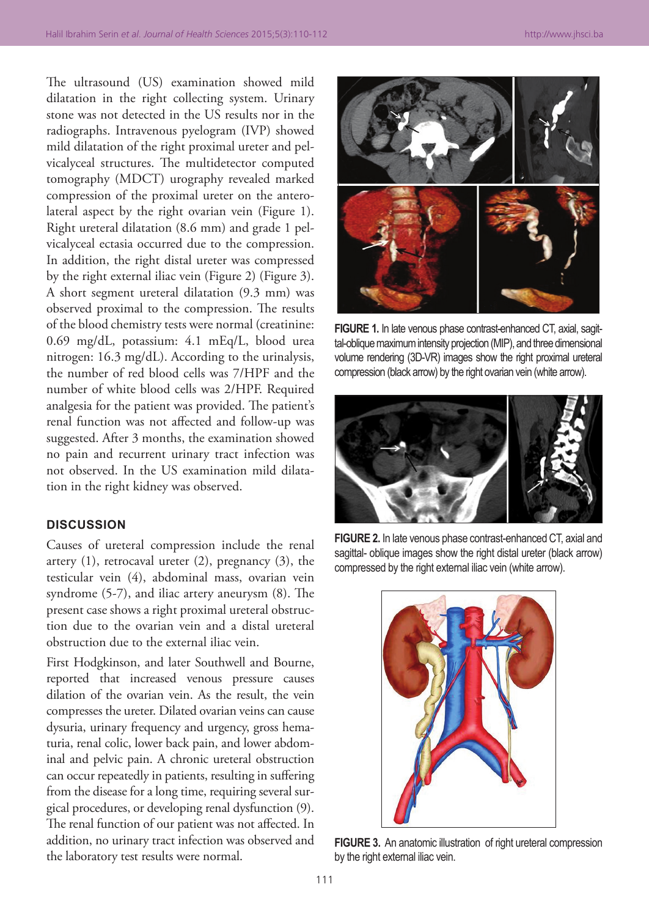The ultrasound (US) examination showed mild dilatation in the right collecting system. Urinary stone was not detected in the US results nor in the radiographs. Intravenous pyelogram (IVP) showed mild dilatation of the right proximal ureter and pelvicalyceal structures. The multidetector computed tomography (MDCT) urography revealed marked compression of the proximal ureter on the anterolateral aspect by the right ovarian vein (Figure 1). Right ureteral dilatation (8.6 mm) and grade 1 pelvicalyceal ectasia occurred due to the compression. In addition, the right distal ureter was compressed by the right external iliac vein (Figure 2) (Figure 3). A short segment ureteral dilatation (9.3 mm) was observed proximal to the compression. The results of the blood chemistry tests were normal (creatinine: 0.69 mg/dL, potassium: 4.1 mEq/L, blood urea nitrogen: 16.3 mg/dL). According to the urinalysis, the number of red blood cells was 7/HPF and the number of white blood cells was 2/HPF. Required analgesia for the patient was provided. The patient's renal function was not affected and follow-up was suggested. After 3 months, the examination showed no pain and recurrent urinary tract infection was not observed. In the US examination mild dilatation in the right kidney was observed.

### **DISCUSSION**

Causes of ureteral compression include the renal artery (1), retrocaval ureter (2), pregnancy (3), the testicular vein (4), abdominal mass, ovarian vein syndrome (5-7), and iliac artery aneurysm (8). The present case shows a right proximal ureteral obstruction due to the ovarian vein and a distal ureteral obstruction due to the external iliac vein.

First Hodgkinson, and later Southwell and Bourne, reported that increased venous pressure causes dilation of the ovarian vein. As the result, the vein compresses the ureter. Dilated ovarian veins can cause dysuria, urinary frequency and urgency, gross hematuria, renal colic, lower back pain, and lower abdominal and pelvic pain. A chronic ureteral obstruction can occur repeatedly in patients, resulting in suffering from the disease for a long time, requiring several surgical procedures, or developing renal dysfunction (9). The renal function of our patient was not affected. In addition, no urinary tract infection was observed and the laboratory test results were normal.



**FIGURE 1.** In late venous phase contrast-enhanced CT, axial, sagittal-oblique maximum intensity projection (MIP), and three dimensional volume rendering (3D-VR) images show the right proximal ureteral compression (black arrow) by the right ovarian vein (white arrow).



**FIGURE 2.** In late venous phase contrast-enhanced CT, axial and sagittal- oblique images show the right distal ureter (black arrow) compressed by the right external iliac vein (white arrow).



**FIGURE 3.** An anatomic illustration of right ureteral compression by the right external iliac vein.